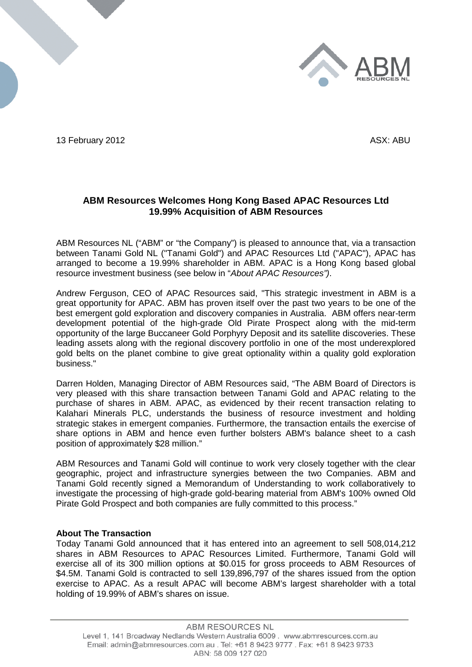

13 February 2012 **ASX:** ABU

# **ABM Resources Welcomes Hong Kong Based APAC Resources Ltd 19.99% Acquisition of ABM Resources**

ABM Resources NL ("ABM" or "the Company") is pleased to announce that, via a transaction between Tanami Gold NL ("Tanami Gold") and APAC Resources Ltd ("APAC"), APAC has arranged to become a 19.99% shareholder in ABM. APAC is a Hong Kong based global resource investment business (see below in "*About APAC Resources")*.

Andrew Ferguson, CEO of APAC Resources said, "This strategic investment in ABM is a great opportunity for APAC. ABM has proven itself over the past two years to be one of the best emergent gold exploration and discovery companies in Australia. ABM offers near-term development potential of the high-grade Old Pirate Prospect along with the mid-term opportunity of the large Buccaneer Gold Porphyry Deposit and its satellite discoveries. These leading assets along with the regional discovery portfolio in one of the most underexplored gold belts on the planet combine to give great optionality within a quality gold exploration business."

Darren Holden, Managing Director of ABM Resources said, "The ABM Board of Directors is very pleased with this share transaction between Tanami Gold and APAC relating to the purchase of shares in ABM. APAC, as evidenced by their recent transaction relating to Kalahari Minerals PLC, understands the business of resource investment and holding strategic stakes in emergent companies. Furthermore, the transaction entails the exercise of share options in ABM and hence even further bolsters ABM's balance sheet to a cash position of approximately \$28 million."

ABM Resources and Tanami Gold will continue to work very closely together with the clear geographic, project and infrastructure synergies between the two Companies. ABM and Tanami Gold recently signed a Memorandum of Understanding to work collaboratively to investigate the processing of high-grade gold-bearing material from ABM's 100% owned Old Pirate Gold Prospect and both companies are fully committed to this process."

## **About The Transaction**

Today Tanami Gold announced that it has entered into an agreement to sell 508,014,212 shares in ABM Resources to APAC Resources Limited. Furthermore, Tanami Gold will exercise all of its 300 million options at \$0.015 for gross proceeds to ABM Resources of \$4.5M. Tanami Gold is contracted to sell 139,896,797 of the shares issued from the option exercise to APAC. As a result APAC will become ABM's largest shareholder with a total holding of 19.99% of ABM's shares on issue.